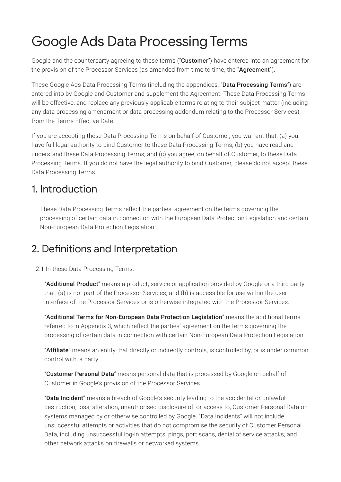# Google Ads Data Processing Terms

Google and the counterparty agreeing to these terms ("**Customer**") have entered into an agreement for the provision of the Processor Services (as amended from time to time, the "Agreement").

These Google Ads Data Processing Terms (including the appendices, "**Data Processing Terms**") are entered into by Google and Customer and supplement the Agreement. These Data Processing Terms will be effective, and replace any previously applicable terms relating to their subject matter (including any data processing amendment or data processing addendum relating to the Processor Services), from the Terms Effective Date.

If you are accepting these Data Processing Terms on behalf of Customer, you warrant that: (a) you have full legal authority to bind Customer to these Data Processing Terms; (b) you have read and understand these Data Processing Terms; and (c) you agree, on behalf of Customer, to these Data Processing Terms. If you do not have the legal authority to bind Customer, please do not accept these Data Processing Terms.

### 1. Introduction

These Data Processing Terms reflect the parties' agreement on the terms governing the processing of certain data in connection with the European Data Protection Legislation and certain Non-European Data Protection Legislation.

### 2. Definitions and Interpretation

2.1 In these Data Processing Terms:

"Additional Product" means a product, service or application provided by Google or a third party that: (a) is not part of the Processor Services; and (b) is accessible for use within the user interface of the Processor Services or is otherwise integrated with the Processor Services.

"Additional Terms for Non-European Data Protection Legislation" means the additional terms referred to in Appendix 3, which reflect the parties' agreement on the terms governing the processing of certain data in connection with certain Non-European Data Protection Legislation.

"Affiliate" means an entity that directly or indirectly controls, is controlled by, or is under common control with, a party.

"Customer Personal Data" means personal data that is processed by Google on behalf of Customer in Google's provision of the Processor Services.

"Data Incident" means a breach of Google's security leading to the accidental or unlawful destruction, loss, alteration, unauthorised disclosure of, or access to, Customer Personal Data on systems managed by or otherwise controlled by Google. "Data Incidents" will not include unsuccessful attempts or activities that do not compromise the security of Customer Personal Data, including unsuccessful log-in attempts, pings, port scans, denial of service attacks, and other network attacks on firewalls or networked systems.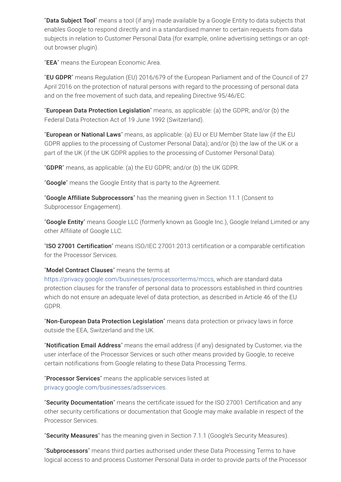"Data Subject Tool" means a tool (if any) made available by a Google Entity to data subjects that enables Google to respond directly and in a standardised manner to certain requests from data subjects in relation to Customer Personal Data (for example, online advertising settings or an optout browser plugin).

"EEA" means the European Economic Area.

"EU GDPR" means Regulation (EU) 2016/679 of the European Parliament and of the Council of 27 April 2016 on the protection of natural persons with regard to the processing of personal data and on the free movement of such data, and repealing Directive 95/46/EC.

"European Data Protection Legislation" means, as applicable: (a) the GDPR; and/or (b) the Federal Data Protection Act of 19 June 1992 (Switzerland).

"**European or National Laws**" means, as applicable: (a) EU or EU Member State law (if the EU GDPR applies to the processing of Customer Personal Data); and/or (b) the law of the UK or a part of the UK (if the UK GDPR applies to the processing of Customer Personal Data).

"**GDPR**" means, as applicable: (a) the EU GDPR; and/or (b) the UK GDPR.

"**Google**" means the Google Entity that is party to the Agreement.

"Google Affiliate Subprocessors" has the meaning given in Section 11.1 (Consent to Subprocessor Engagement).

"Google Entity" means Google LLC (formerly known as Google Inc.), Google Ireland Limited or any other Affiliate of Google LLC.

"ISO 27001 Certification" means ISO/IEC 27001:2013 certification or a comparable certification for the Processor Services.

#### "Model Contract Clauses" means the terms at

<https://privacy.google.com/businesses/processorterms/mccs>, which are standard data protection clauses for the transfer of personal data to processors established in third countries which do not ensure an adequate level of data protection, as described in Article 46 of the EU GDPR.

"Non-European Data Protection Legislation" means data protection or privacy laws in force outside the EEA, Switzerland and the UK.

"Notification Email Address" means the email address (if any) designated by Customer, via the user interface of the Processor Services or such other means provided by Google, to receive certain notifications from Google relating to these Data Processing Terms.

"Processor Services" means the applicable services listed at [privacy.google.com/businesses/adsservices.](https://privacy.google.com/businesses/adsservices/)

"Security Documentation" means the certificate issued for the ISO 27001 Certification and any other security certifications or documentation that Google may make available in respect of the Processor Services.

"Security Measures" has the meaning given in Section 7.1.1 (Google's Security Measures).

"Subprocessors" means third parties authorised under these Data Processing Terms to have logical access to and process Customer Personal Data in order to provide parts of the Processor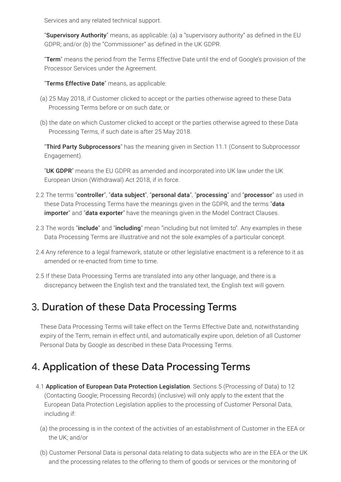Services and any related technical support.

"Supervisory Authority" means, as applicable: (a) a "supervisory authority" as defined in the EU GDPR; and/or (b) the "Commissioner" as defined in the UK GDPR.

"Term" means the period from the Terms Effective Date until the end of Google's provision of the Processor Services under the Agreement.

"Terms Effective Date" means, as applicable:

- (a) 25 May 2018, if Customer clicked to accept or the parties otherwise agreed to these Data Processing Terms before or on such date; or
- (b) the date on which Customer clicked to accept or the parties otherwise agreed to these Data Processing Terms, if such date is after 25 May 2018.

"Third Party Subprocessors" has the meaning given in Section 11.1 (Consent to Subprocessor Engagement).

"UK GDPR" means the EU GDPR as amended and incorporated into UK law under the UK European Union (Withdrawal) Act 2018, if in force.

- 2.2 The terms "controller", "data subject", "personal data", "processing" and "processor" as used in these Data Processing Terms have the meanings given in the GDPR, and the terms "data importer" and "data exporter" have the meanings given in the Model Contract Clauses.
- 2.3 The words "**include**" and "**including**" mean "including but not limited to". Any examples in these Data Processing Terms are illustrative and not the sole examples of a particular concept.
- 2.4 Any reference to a legal framework, statute or other legislative enactment is a reference to it as amended or re-enacted from time to time.
- 2.5 If these Data Processing Terms are translated into any other language, and there is a discrepancy between the English text and the translated text, the English text will govern.

### 3. Duration of these Data Processing Terms

These Data Processing Terms will take effect on the Terms Effective Date and, notwithstanding expiry of the Term, remain in effect until, and automatically expire upon, deletion of all Customer Personal Data by Google as described in these Data Processing Terms.

# 4. Application of these Data Processing Terms

- 4.1 Application of European Data Protection Legislation. Sections 5 (Processing of Data) to 12 (Contacting Google; Processing Records) (inclusive) will only apply to the extent that the European Data Protection Legislation applies to the processing of Customer Personal Data, including if:
	- (a) the processing is in the context of the activities of an establishment of Customer in the EEA or the UK; and/or
	- (b) Customer Personal Data is personal data relating to data subjects who are in the EEA or the UK and the processing relates to the offering to them of goods or services or the monitoring of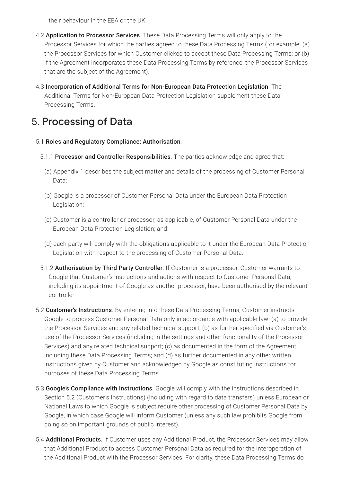their behaviour in the EEA or the UK.

- 4.2 Application to Processor Services. These Data Processing Terms will only apply to the Processor Services for which the parties agreed to these Data Processing Terms (for example: (a) the Processor Services for which Customer clicked to accept these Data Processing Terms; or (b) if the Agreement incorporates these Data Processing Terms by reference, the Processor Services that are the subject of the Agreement).
- 4.3 Incorporation of Additional Terms for Non-European Data Protection Legislation. The Additional Terms for Non-European Data Protection Legislation supplement these Data Processing Terms.

# 5. Processing of Data

#### 5.1 Roles and Regulatory Compliance; Authorisation.

- 5.1.1 Processor and Controller Responsibilities. The parties acknowledge and agree that:
	- (a) Appendix 1 describes the subject matter and details of the processing of Customer Personal Data;
	- (b) Google is a processor of Customer Personal Data under the European Data Protection Legislation;
	- (c) Customer is a controller or processor, as applicable, of Customer Personal Data under the European Data Protection Legislation; and
	- (d) each party will comply with the obligations applicable to it under the European Data Protection Legislation with respect to the processing of Customer Personal Data.
- 5.1.2 Authorisation by Third Party Controller. If Customer is a processor, Customer warrants to Google that Customer's instructions and actions with respect to Customer Personal Data, including its appointment of Google as another processor, have been authorised by the relevant controller.
- 5.2 **Customer's Instructions**. By entering into these Data Processing Terms, Customer instructs Google to process Customer Personal Data only in accordance with applicable law: (a) to provide the Processor Services and any related technical support; (b) as further specified via Customer's use of the Processor Services (including in the settings and other functionality of the Processor Services) and any related technical support; (c) as documented in the form of the Agreement, including these Data Processing Terms; and (d) as further documented in any other written instructions given by Customer and acknowledged by Google as constituting instructions for purposes of these Data Processing Terms.
- 5.3 **Google's Compliance with Instructions**. Google will comply with the instructions described in Section 5.2 (Customer's Instructions) (including with regard to data transfers) unless European or National Laws to which Google is subject require other processing of Customer Personal Data by Google, in which case Google will inform Customer (unless any such law prohibits Google from doing so on important grounds of public interest).
- 5.4 **Additional Products**. If Customer uses any Additional Product, the Processor Services may allow that Additional Product to access Customer Personal Data as required for the interoperation of the Additional Product with the Processor Services. For clarity, these Data Processing Terms do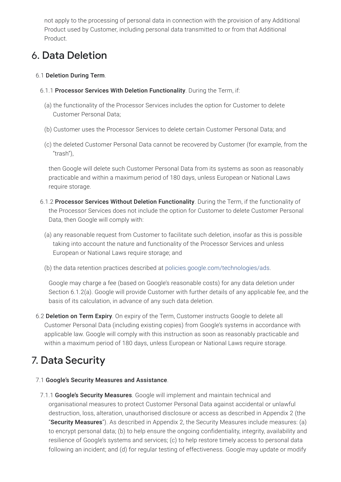not apply to the processing of personal data in connection with the provision of any Additional Product used by Customer, including personal data transmitted to or from that Additional Product.

## 6. Data Deletion

#### 6.1 Deletion During Term.

- 6.1.1 Processor Services With Deletion Functionality. During the Term, if:
	- (a) the functionality of the Processor Services includes the option for Customer to delete Customer Personal Data;
	- (b) Customer uses the Processor Services to delete certain Customer Personal Data; and
	- (c) the deleted Customer Personal Data cannot be recovered by Customer (for example, from the "trash"),

then Google will delete such Customer Personal Data from its systems as soon as reasonably practicable and within a maximum period of 180 days, unless European or National Laws require storage.

- 6.1.2 Processor Services Without Deletion Functionality. During the Term, if the functionality of the Processor Services does not include the option for Customer to delete Customer Personal Data, then Google will comply with:
	- (a) any reasonable request from Customer to facilitate such deletion, insofar as this is possible taking into account the nature and functionality of the Processor Services and unless European or National Laws require storage; and
	- (b) the data retention practices described at [policies.google.com/technologies/ads](https://policies.google.com/technologies/ads).

Google may charge a fee (based on Google's reasonable costs) for any data deletion under Section 6.1.2(a). Google will provide Customer with further details of any applicable fee, and the basis of its calculation, in advance of any such data deletion.

6.2 Deletion on Term Expiry. On expiry of the Term, Customer instructs Google to delete all Customer Personal Data (including existing copies) from Google's systems in accordance with applicable law. Google will comply with this instruction as soon as reasonably practicable and within a maximum period of 180 days, unless European or National Laws require storage.

# 7. Data Security

#### 7.1 Google's Security Measures and Assistance.

7.1.1 Google's Security Measures. Google will implement and maintain technical and organisational measures to protect Customer Personal Data against accidental or unlawful destruction, loss, alteration, unauthorised disclosure or access as described in Appendix 2 (the "Security Measures"). As described in Appendix 2, the Security Measures include measures: (a) to encrypt personal data; (b) to help ensure the ongoing confidentiality, integrity, availability and resilience of Google's systems and services; (c) to help restore timely access to personal data following an incident; and (d) for regular testing of effectiveness. Google may update or modify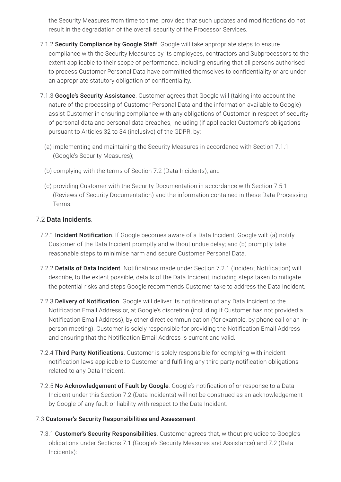the Security Measures from time to time, provided that such updates and modifications do not result in the degradation of the overall security of the Processor Services.

- 7.1.2 Security Compliance by Google Staff. Google will take appropriate steps to ensure compliance with the Security Measures by its employees, contractors and Subprocessors to the extent applicable to their scope of performance, including ensuring that all persons authorised to process Customer Personal Data have committed themselves to confidentiality or are under an appropriate statutory obligation of confidentiality.
- 7.1.3 Google's Security Assistance. Customer agrees that Google will (taking into account the nature of the processing of Customer Personal Data and the information available to Google) assist Customer in ensuring compliance with any obligations of Customer in respect of security of personal data and personal data breaches, including (if applicable) Customer's obligations pursuant to Articles 32 to 34 (inclusive) of the GDPR, by:
	- (a) implementing and maintaining the Security Measures in accordance with Section 7.1.1 (Google's Security Measures);
	- (b) complying with the terms of Section 7.2 (Data Incidents); and
	- (c) providing Customer with the Security Documentation in accordance with Section 7.5.1 (Reviews of Security Documentation) and the information contained in these Data Processing Terms.

#### 7.2 Data Incidents.

- 7.2.1 Incident Notification. If Google becomes aware of a Data Incident, Google will: (a) notify Customer of the Data Incident promptly and without undue delay; and (b) promptly take reasonable steps to minimise harm and secure Customer Personal Data.
- 7.2.2 Details of Data Incident. Notifications made under Section 7.2.1 (Incident Notification) will describe, to the extent possible, details of the Data Incident, including steps taken to mitigate the potential risks and steps Google recommends Customer take to address the Data Incident.
- 7.2.3 Delivery of Notification. Google will deliver its notification of any Data Incident to the Notification Email Address or, at Google's discretion (including if Customer has not provided a Notification Email Address), by other direct communication (for example, by phone call or an inperson meeting). Customer is solely responsible for providing the Notification Email Address and ensuring that the Notification Email Address is current and valid.
- 7.2.4 Third Party Notifications. Customer is solely responsible for complying with incident notification laws applicable to Customer and fulfilling any third party notification obligations related to any Data Incident.
- 7.2.5 No Acknowledgement of Fault by Google. Google's notification of or response to a Data Incident under this Section 7.2 (Data Incidents) will not be construed as an acknowledgement by Google of any fault or liability with respect to the Data Incident.

#### 7.3 Customer's Security Responsibilities and Assessment.

7.3.1 Customer's Security Responsibilities. Customer agrees that, without prejudice to Google's obligations under Sections 7.1 (Google's Security Measures and Assistance) and 7.2 (Data Incidents):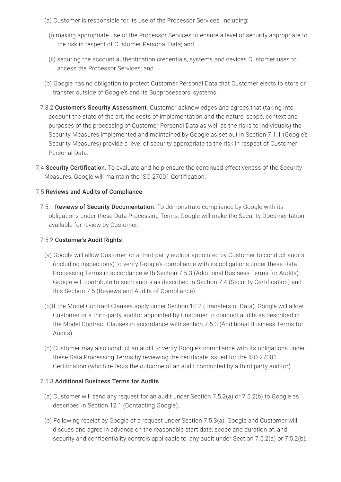- (a) Customer is responsible for its use of the Processor Services, including:
	- (i) making appropriate use of the Processor Services to ensure a level of security appropriate to the risk in respect of Customer Personal Data; and
	- (ii) securing the account authentication credentials, systems and devices Customer uses to access the Processor Services; and
- (b) Google has no obligation to protect Customer Personal Data that Customer elects to store or transfer outside of Google's and its Subprocessors' systems.
- 7.3.2 Customer's Security Assessment. Customer acknowledges and agrees that (taking into account the state of the art, the costs of implementation and the nature, scope, context and purposes of the processing of Customer Personal Data as well as the risks to individuals) the Security Measures implemented and maintained by Google as set out in Section 7.1.1 (Google's Security Measures) provide a level of security appropriate to the risk in respect of Customer Personal Data.
- 7.4 Security Certification. To evaluate and help ensure the continued effectiveness of the Security Measures, Google will maintain the ISO 27001 Certification.

#### 7.5 Reviews and Audits of Compliance.

7.5.1 Reviews of Security Documentation. To demonstrate compliance by Google with its obligations under these Data Processing Terms, Google will make the Security Documentation available for review by Customer.

#### 7.5.2 Customer's Audit Rights.

- (a) Google will allow Customer or a third party auditor appointed by Customer to conduct audits (including inspections) to verify Google's compliance with its obligations under these Data Processing Terms in accordance with Section 7.5.3 (Additional Business Terms for Audits). Google will contribute to such audits as described in Section 7.4 (Security Certification) and this Section 7.5 (Reviews and Audits of Compliance).
- (b)If the Model Contract Clauses apply under Section 10.2 (Transfers of Data), Google will allow Customer or a third-party auditor appointed by Customer to conduct audits as described in the Model Contract Clauses in accordance with section 7.5.3 (Additional Business Terms for Audits).
- (c) Customer may also conduct an audit to verify Google's compliance with its obligations under these Data Processing Terms by reviewing the certificate issued for the ISO 27001 Certification (which reflects the outcome of an audit conducted by a third party auditor).

#### 7.5.3 Additional Business Terms for Audits.

- (a) Customer will send any request for an audit under Section 7.5.2(a) or 7.5.2(b) to Google as described in Section 12.1 (Contacting Google).
- (b) Following receipt by Google of a request under Section 7.5.3(a), Google and Customer will discuss and agree in advance on the reasonable start date, scope and duration of, and security and confidentiality controls applicable to, any audit under Section 7.5.2(a) or 7.5.2(b).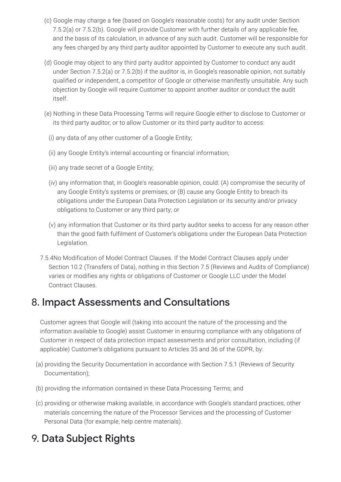- (c) Google may charge a fee (based on Google's reasonable costs) for any audit under Section 7.5.2(a) or 7.5.2(b). Google will provide Customer with further details of any applicable fee, and the basis of its calculation, in advance of any such audit. Customer will be responsible for any fees charged by any third party auditor appointed by Customer to execute any such audit.
- (d) Google may object to any third party auditor appointed by Customer to conduct any audit under Section 7.5.2(a) or 7.5.2(b) if the auditor is, in Google's reasonable opinion, not suitably qualified or independent, a competitor of Google or otherwise manifestly unsuitable. Any such objection by Google will require Customer to appoint another auditor or conduct the audit itself.
- (e) Nothing in these Data Processing Terms will require Google either to disclose to Customer or its third party auditor, or to allow Customer or its third party auditor to access:
	- (i) any data of any other customer of a Google Entity;
	- (ii) any Google Entity's internal accounting or financial information;
	- (iii) any trade secret of a Google Entity;
	- (iv) any information that, in Google's reasonable opinion, could: (A) compromise the security of any Google Entity's systems or premises; or (B) cause any Google Entity to breach its obligations under the European Data Protection Legislation or its security and/or privacy obligations to Customer or any third party; or
	- (v) any information that Customer or its third party auditor seeks to access for any reason other than the good faith fulfilment of Customer's obligations under the European Data Protection Legislation.
- 7.5.4No Modification of Model Contract Clauses. If the Model Contract Clauses apply under Section 10.2 (Transfers of Data), nothing in this Section 7.5 (Reviews and Audits of Compliance) varies or modifies any rights or obligations of Customer or Google LLC under the Model Contract Clauses.

### 8. Impact Assessments and Consultations

Customer agrees that Google will (taking into account the nature of the processing and the information available to Google) assist Customer in ensuring compliance with any obligations of Customer in respect of data protection impact assessments and prior consultation, including (if applicable) Customer's obligations pursuant to Articles 35 and 36 of the GDPR, by:

- (a) providing the Security Documentation in accordance with Section 7.5.1 (Reviews of Security Documentation);
- (b) providing the information contained in these Data Processing Terms; and
- (c) providing or otherwise making available, in accordance with Google's standard practices, other materials concerning the nature of the Processor Services and the processing of Customer Personal Data (for example, help centre materials).

### 9. Data Subject Rights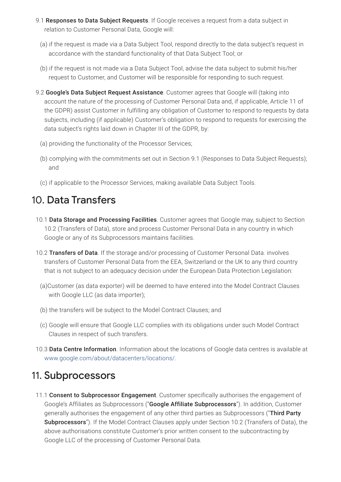- 9.1 Responses to Data Subject Requests. If Google receives a request from a data subject in relation to Customer Personal Data, Google will:
	- (a) if the request is made via a Data Subject Tool, respond directly to the data subject's request in accordance with the standard functionality of that Data Subject Tool; or
	- (b) if the request is not made via a Data Subject Tool, advise the data subject to submit his/her request to Customer, and Customer will be responsible for responding to such request.
- 9.2 Google's Data Subject Request Assistance. Customer agrees that Google will (taking into account the nature of the processing of Customer Personal Data and, if applicable, Article 11 of the GDPR) assist Customer in fulfilling any obligation of Customer to respond to requests by data subjects, including (if applicable) Customer's obligation to respond to requests for exercising the data subject's rights laid down in Chapter III of the GDPR, by:
	- (a) providing the functionality of the Processor Services;
	- (b) complying with the commitments set out in Section 9.1 (Responses to Data Subject Requests); and
	- (c) if applicable to the Processor Services, making available Data Subject Tools.

### 10. Data Transfers

- 10.1 Data Storage and Processing Facilities. Customer agrees that Google may, subject to Section 10.2 (Transfers of Data), store and process Customer Personal Data in any country in which Google or any of its Subprocessors maintains facilities.
- 10.2 Transfers of Data. If the storage and/or processing of Customer Personal Data. involves transfers of Customer Personal Data from the EEA, Switzerland or the UK to any third country that is not subject to an adequacy decision under the European Data Protection Legislation:
	- (a)Customer (as data exporter) will be deemed to have entered into the Model Contract Clauses with Google LLC (as data importer);
	- (b) the transfers will be subject to the Model Contract Clauses; and
	- (c) Google will ensure that Google LLC complies with its obligations under such Model Contract Clauses in respect of such transfers.
- 10.3 Data Centre Information. Information about the locations of Google data centres is available at [www.google.com/about/datacenters/locations/.](https://www.google.com/about/datacenters/locations/)

### 11. Subprocessors

11.1 Consent to Subprocessor Engagement. Customer specifically authorises the engagement of Google's Affiliates as Subprocessors ("Google Affiliate Subprocessors"). In addition, Customer generally authorises the engagement of any other third parties as Subprocessors ("Third Party Subprocessors"). If the Model Contract Clauses apply under Section 10.2 (Transfers of Data), the above authorisations constitute Customer's prior written consent to the subcontracting by Google LLC of the processing of Customer Personal Data.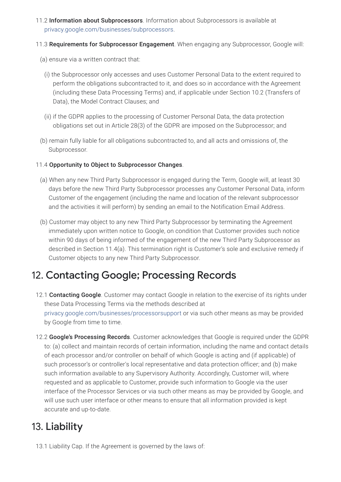- 11.2 Information about Subprocessors. Information about Subprocessors is available at [privacy.google.com/businesses/subprocessors.](https://privacy.google.com/businesses/subprocessors/)
- 11.3 Requirements for Subprocessor Engagement. When engaging any Subprocessor, Google will:
	- (a) ensure via a written contract that:
		- (i) the Subprocessor only accesses and uses Customer Personal Data to the extent required to perform the obligations subcontracted to it, and does so in accordance with the Agreement (including these Data Processing Terms) and, if applicable under Section 10.2 (Transfers of Data), the Model Contract Clauses; and
		- (ii) if the GDPR applies to the processing of Customer Personal Data, the data protection obligations set out in Article 28(3) of the GDPR are imposed on the Subprocessor; and
	- (b) remain fully liable for all obligations subcontracted to, and all acts and omissions of, the Subprocessor.

#### 11.4 Opportunity to Object to Subprocessor Changes.

- (a) When any new Third Party Subprocessor is engaged during the Term, Google will, at least 30 days before the new Third Party Subprocessor processes any Customer Personal Data, inform Customer of the engagement (including the name and location of the relevant subprocessor and the activities it will perform) by sending an email to the Notification Email Address.
- (b) Customer may object to any new Third Party Subprocessor by terminating the Agreement immediately upon written notice to Google, on condition that Customer provides such notice within 90 days of being informed of the engagement of the new Third Party Subprocessor as described in Section 11.4(a). This termination right is Customer's sole and exclusive remedy if Customer objects to any new Third Party Subprocessor.

### 12. Contacting Google; Processing Records

- 12.1 Contacting Google. Customer may contact Google in relation to the exercise of its rights under these Data Processing Terms via the methods described at [privacy.google.com/businesses/processorsupport](https://support.google.com/policies/troubleshooter/9009584) or via such other means as may be provided by Google from time to time.
- 12.2 Google's Processing Records. Customer acknowledges that Google is required under the GDPR to: (a) collect and maintain records of certain information, including the name and contact details of each processor and/or controller on behalf of which Google is acting and (if applicable) of such processor's or controller's local representative and data protection officer; and (b) make such information available to any Supervisory Authority. Accordingly, Customer will, where requested and as applicable to Customer, provide such information to Google via the user interface of the Processor Services or via such other means as may be provided by Google, and will use such user interface or other means to ensure that all information provided is kept accurate and up-to-date.

### 13. Liability

13.1 Liability Cap. If the Agreement is governed by the laws of: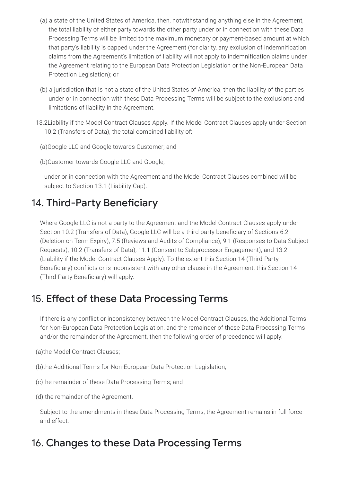- (a) a state of the United States of America, then, notwithstanding anything else in the Agreement, the total liability of either party towards the other party under or in connection with these Data Processing Terms will be limited to the maximum monetary or payment-based amount at which that party's liability is capped under the Agreement (for clarity, any exclusion of indemnification claims from the Agreement's limitation of liability will not apply to indemnification claims under the Agreement relating to the European Data Protection Legislation or the Non-European Data Protection Legislation); or
- (b) a jurisdiction that is not a state of the United States of America, then the liability of the parties under or in connection with these Data Processing Terms will be subject to the exclusions and limitations of liability in the Agreement.
- 13.2Liability if the Model Contract Clauses Apply. If the Model Contract Clauses apply under Section 10.2 (Transfers of Data), the total combined liability of:
	- (a)Google LLC and Google towards Customer; and
	- (b)Customer towards Google LLC and Google,

under or in connection with the Agreement and the Model Contract Clauses combined will be subject to Section 13.1 (Liability Cap).

### 14. Third-Party Beneficiary

Where Google LLC is not a party to the Agreement and the Model Contract Clauses apply under Section 10.2 (Transfers of Data), Google LLC will be a third-party beneficiary of Sections 6.2 (Deletion on Term Expiry), 7.5 (Reviews and Audits of Compliance), 9.1 (Responses to Data Subject Requests), 10.2 (Transfers of Data), 11.1 (Consent to Subprocessor Engagement), and 13.2 (Liability if the Model Contract Clauses Apply). To the extent this Section 14 (Third-Party Beneficiary) conflicts or is inconsistent with any other clause in the Agreement, this Section 14 (Third-Party Beneficiary) will apply.

### 15. Effect of these Data Processing Terms

If there is any conflict or inconsistency between the Model Contract Clauses, the Additional Terms for Non-European Data Protection Legislation, and the remainder of these Data Processing Terms and/or the remainder of the Agreement, then the following order of precedence will apply:

- (a)the Model Contract Clauses;
- (b)the Additional Terms for Non-European Data Protection Legislation;
- (c)the remainder of these Data Processing Terms; and
- (d) the remainder of the Agreement.

Subject to the amendments in these Data Processing Terms, the Agreement remains in full force and effect.

### 16. Changes to these Data Processing Terms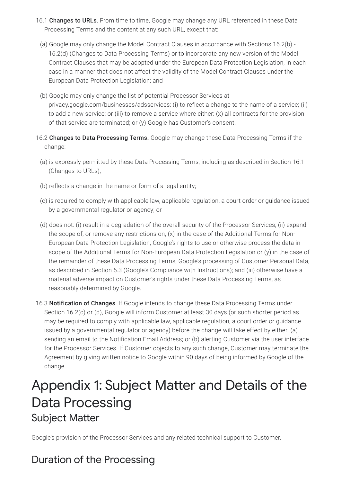- 16.1 **Changes to URLs**. From time to time, Google may change any URL referenced in these Data Processing Terms and the content at any such URL, except that:
	- (a) Google may only change the Model Contract Clauses in accordance with Sections 16.2(b) 16.2(d) (Changes to Data Processing Terms) or to incorporate any new version of the Model Contract Clauses that may be adopted under the European Data Protection Legislation, in each case in a manner that does not affect the validity of the Model Contract Clauses under the European Data Protection Legislation; and
	- (b) Google may only change the list of potential Processor Services at privacy.google.com/businesses/adsservices: (i) to reflect a change to the name of a service; (ii) to add a new service; or (iii) to remove a service where either: (x) all contracts for the provision of that service are terminated; or (y) Google has Customer's consent.
- 16.2 Changes to Data Processing Terms. Google may change these Data Processing Terms if the change:
	- (a) is expressly permitted by these Data Processing Terms, including as described in Section 16.1 (Changes to URLs);
	- (b) reflects a change in the name or form of a legal entity;
	- (c) is required to comply with applicable law, applicable regulation, a court order or guidance issued by a governmental regulator or agency; or
	- (d) does not: (i) result in a degradation of the overall security of the Processor Services; (ii) expand the scope of, or remove any restrictions on, (x) in the case of the Additional Terms for Non-European Data Protection Legislation, Google's rights to use or otherwise process the data in scope of the Additional Terms for Non-European Data Protection Legislation or (y) in the case of the remainder of these Data Processing Terms, Google's processing of Customer Personal Data, as described in Section 5.3 (Google's Compliance with Instructions); and (iii) otherwise have a material adverse impact on Customer's rights under these Data Processing Terms, as reasonably determined by Google.
- 16.3 **Notification of Changes**. If Google intends to change these Data Processing Terms under Section 16.2(c) or (d), Google will inform Customer at least 30 days (or such shorter period as may be required to comply with applicable law, applicable regulation, a court order or guidance issued by a governmental regulator or agency) before the change will take effect by either: (a) sending an email to the Notification Email Address; or (b) alerting Customer via the user interface for the Processor Services. If Customer objects to any such change, Customer may terminate the Agreement by giving written notice to Google within 90 days of being informed by Google of the change.

# Appendix 1: Subject Matter and Details of the Data Processing Subject Matter

Google's provision of the Processor Services and any related technical support to Customer.

# Duration of the Processing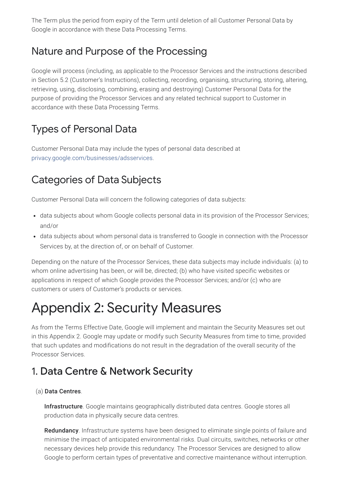The Term plus the period from expiry of the Term until deletion of all Customer Personal Data by Google in accordance with these Data Processing Terms.

## Nature and Purpose of the Processing

Google will process (including, as applicable to the Processor Services and the instructions described in Section 5.2 (Customer's Instructions), collecting, recording, organising, structuring, storing, altering, retrieving, using, disclosing, combining, erasing and destroying) Customer Personal Data for the purpose of providing the Processor Services and any related technical support to Customer in accordance with these Data Processing Terms.

## Types of Personal Data

Customer Personal Data may include the types of personal data described at [privacy.google.com/businesses/adsservices](https://privacy.google.com/businesses/adsservices/).

# Categories of Data Subjects

Customer Personal Data will concern the following categories of data subjects:

- data subjects about whom Google collects personal data in its provision of the Processor Services; and/or
- data subjects about whom personal data is transferred to Google in connection with the Processor Services by, at the direction of, or on behalf of Customer.

Depending on the nature of the Processor Services, these data subjects may include individuals: (a) to whom online advertising has been, or will be, directed; (b) who have visited specific websites or applications in respect of which Google provides the Processor Services; and/or (c) who are customers or users of Customer's products or services.

# Appendix 2: Security Measures

As from the Terms Effective Date, Google will implement and maintain the Security Measures set out in this Appendix 2. Google may update or modify such Security Measures from time to time, provided that such updates and modifications do not result in the degradation of the overall security of the Processor Services.

# 1. Data Centre & Network Security

#### (a) Data Centres.

Infrastructure. Google maintains geographically distributed data centres. Google stores all production data in physically secure data centres.

Redundancy. Infrastructure systems have been designed to eliminate single points of failure and minimise the impact of anticipated environmental risks. Dual circuits, switches, networks or other necessary devices help provide this redundancy. The Processor Services are designed to allow Google to perform certain types of preventative and corrective maintenance without interruption.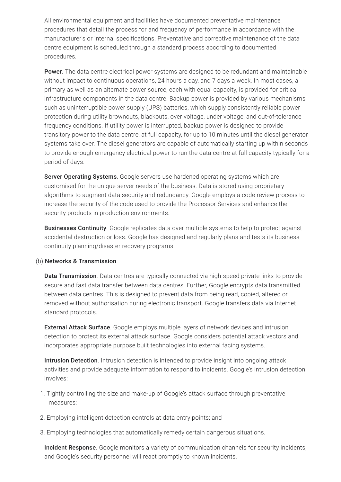All environmental equipment and facilities have documented preventative maintenance procedures that detail the process for and frequency of performance in accordance with the manufacturer's or internal specifications. Preventative and corrective maintenance of the data centre equipment is scheduled through a standard process according to documented procedures.

**Power**. The data centre electrical power systems are designed to be redundant and maintainable without impact to continuous operations, 24 hours a day, and 7 days a week. In most cases, a primary as well as an alternate power source, each with equal capacity, is provided for critical infrastructure components in the data centre. Backup power is provided by various mechanisms such as uninterruptible power supply (UPS) batteries, which supply consistently reliable power protection during utility brownouts, blackouts, over voltage, under voltage, and out-of-tolerance frequency conditions. If utility power is interrupted, backup power is designed to provide transitory power to the data centre, at full capacity, for up to 10 minutes until the diesel generator systems take over. The diesel generators are capable of automatically starting up within seconds to provide enough emergency electrical power to run the data centre at full capacity typically for a period of days.

Server Operating Systems. Google servers use hardened operating systems which are customised for the unique server needs of the business. Data is stored using proprietary algorithms to augment data security and redundancy. Google employs a code review process to increase the security of the code used to provide the Processor Services and enhance the security products in production environments.

**Businesses Continuity**. Google replicates data over multiple systems to help to protect against accidental destruction or loss. Google has designed and regularly plans and tests its business continuity planning/disaster recovery programs.

#### (b) Networks & Transmission.

Data Transmission. Data centres are typically connected via high-speed private links to provide secure and fast data transfer between data centres. Further, Google encrypts data transmitted between data centres. This is designed to prevent data from being read, copied, altered or removed without authorisation during electronic transport. Google transfers data via Internet standard protocols.

External Attack Surface. Google employs multiple layers of network devices and intrusion detection to protect its external attack surface. Google considers potential attack vectors and incorporates appropriate purpose built technologies into external facing systems.

Intrusion Detection. Intrusion detection is intended to provide insight into ongoing attack activities and provide adequate information to respond to incidents. Google's intrusion detection involves:

- 1. Tightly controlling the size and make-up of Google's attack surface through preventative measures;
- 2. Employing intelligent detection controls at data entry points; and
- 3. Employing technologies that automatically remedy certain dangerous situations.

Incident Response. Google monitors a variety of communication channels for security incidents, and Google's security personnel will react promptly to known incidents.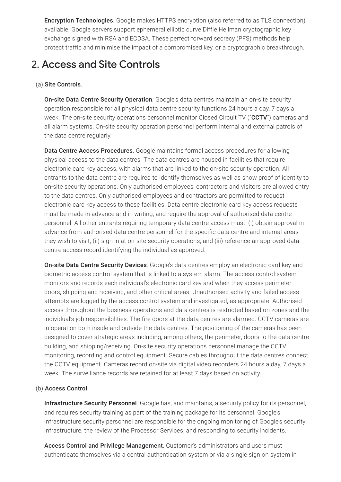**Encryption Technologies**. Google makes HTTPS encryption (also referred to as TLS connection) available. Google servers support ephemeral elliptic curve Diffie Hellman cryptographic key exchange signed with RSA and ECDSA. These perfect forward secrecy (PFS) methods help protect traffic and minimise the impact of a compromised key, or a cryptographic breakthrough.

### 2. Access and Site Controls

#### (a) Site Controls.

**On-site Data Centre Security Operation**. Google's data centres maintain an on-site security operation responsible for all physical data centre security functions 24 hours a day, 7 days a week. The on-site security operations personnel monitor Closed Circuit TV ("CCTV") cameras and all alarm systems. On-site security operation personnel perform internal and external patrols of the data centre regularly.

Data Centre Access Procedures. Google maintains formal access procedures for allowing physical access to the data centres. The data centres are housed in facilities that require electronic card key access, with alarms that are linked to the on-site security operation. All entrants to the data centre are required to identify themselves as well as show proof of identity to on-site security operations. Only authorised employees, contractors and visitors are allowed entry to the data centres. Only authorised employees and contractors are permitted to request electronic card key access to these facilities. Data centre electronic card key access requests must be made in advance and in writing, and require the approval of authorised data centre personnel. All other entrants requiring temporary data centre access must: (i) obtain approval in advance from authorised data centre personnel for the specific data centre and internal areas they wish to visit; (ii) sign in at on-site security operations; and (iii) reference an approved data centre access record identifying the individual as approved.

On-site Data Centre Security Devices. Google's data centres employ an electronic card key and biometric access control system that is linked to a system alarm. The access control system monitors and records each individual's electronic card key and when they access perimeter doors, shipping and receiving, and other critical areas. Unauthorised activity and failed access attempts are logged by the access control system and investigated, as appropriate. Authorised access throughout the business operations and data centres is restricted based on zones and the individual's job responsibilities. The fire doors at the data centres are alarmed. CCTV cameras are in operation both inside and outside the data centres. The positioning of the cameras has been designed to cover strategic areas including, among others, the perimeter, doors to the data centre building, and shipping/receiving. On-site security operations personnel manage the CCTV monitoring, recording and control equipment. Secure cables throughout the data centres connect the CCTV equipment. Cameras record on-site via digital video recorders 24 hours a day, 7 days a week. The surveillance records are retained for at least 7 days based on activity.

#### (b) Access Control.

Infrastructure Security Personnel. Google has, and maintains, a security policy for its personnel, and requires security training as part of the training package for its personnel. Google's infrastructure security personnel are responsible for the ongoing monitoring of Google's security infrastructure, the review of the Processor Services, and responding to security incidents.

Access Control and Privilege Management. Customer's administrators and users must authenticate themselves via a central authentication system or via a single sign on system in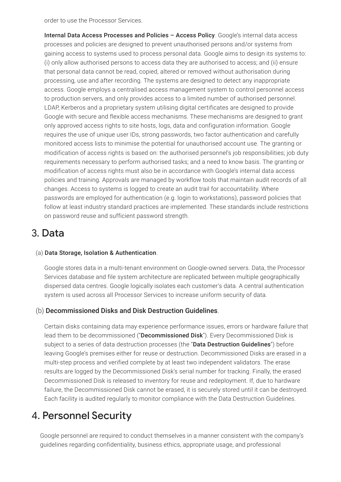order to use the Processor Services.

Internal Data Access Processes and Policies - Access Policy. Google's internal data access processes and policies are designed to prevent unauthorised persons and/or systems from gaining access to systems used to process personal data. Google aims to design its systems to: (i) only allow authorised persons to access data they are authorised to access; and (ii) ensure that personal data cannot be read, copied, altered or removed without authorisation during processing, use and after recording. The systems are designed to detect any inappropriate access. Google employs a centralised access management system to control personnel access to production servers, and only provides access to a limited number of authorised personnel. LDAP, Kerberos and a proprietary system utilising digital certificates are designed to provide Google with secure and flexible access mechanisms. These mechanisms are designed to grant only approved access rights to site hosts, logs, data and configuration information. Google requires the use of unique user IDs, strong passwords, two factor authentication and carefully monitored access lists to minimise the potential for unauthorised account use. The granting or modification of access rights is based on: the authorised personnel's job responsibilities; job duty requirements necessary to perform authorised tasks; and a need to know basis. The granting or modification of access rights must also be in accordance with Google's internal data access policies and training. Approvals are managed by workflow tools that maintain audit records of all changes. Access to systems is logged to create an audit trail for accountability. Where passwords are employed for authentication (e.g. login to workstations), password policies that follow at least industry standard practices are implemented. These standards include restrictions on password reuse and sufficient password strength.

### 3. Data

#### (a) Data Storage, Isolation & Authentication.

Google stores data in a multi-tenant environment on Google-owned servers. Data, the Processor Services database and file system architecture are replicated between multiple geographically dispersed data centres. Google logically isolates each customer's data. A central authentication system is used across all Processor Services to increase uniform security of data.

#### (b) Decommissioned Disks and Disk Destruction Guidelines.

Certain disks containing data may experience performance issues, errors or hardware failure that lead them to be decommissioned ("Decommissioned Disk"). Every Decommissioned Disk is subject to a series of data destruction processes (the "Data Destruction Guidelines") before leaving Google's premises either for reuse or destruction. Decommissioned Disks are erased in a multi-step process and verified complete by at least two independent validators. The erase results are logged by the Decommissioned Disk's serial number for tracking. Finally, the erased Decommissioned Disk is released to inventory for reuse and redeployment. If, due to hardware failure, the Decommissioned Disk cannot be erased, it is securely stored until it can be destroyed. Each facility is audited regularly to monitor compliance with the Data Destruction Guidelines.

### 4. Personnel Security

Google personnel are required to conduct themselves in a manner consistent with the company's guidelines regarding confidentiality, business ethics, appropriate usage, and professional